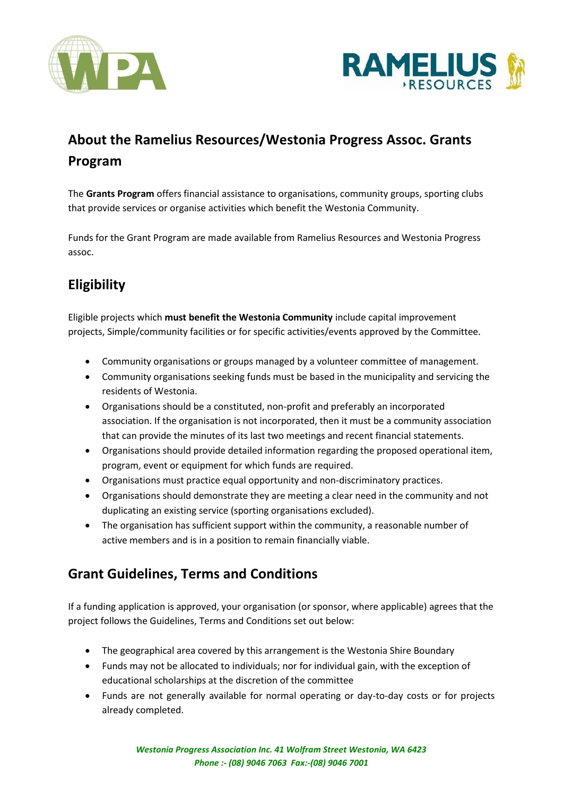



## **About the Ramelius Resources/Westonia Progress Assoc. Grants Program**

The **Grants Program** offers financial assistance to organisations, community groups, sporting clubs that provide services or organise activities which benefit the Westonia Community.

Funds for the Grant Program are made available from Ramelius Resources and Westonia Progress assoc.

## **Eligibility**

Eligible projects which **must benefit the Westonia Community** include capital improvement projects, Simple/community facilities or for specific activities/events approved by the Committee.

- Community organisations or groups managed by a volunteer committee of management.
- Community organisations seeking funds must be based in the municipality and servicing the residents of Westonia.
- Organisations should be a constituted, non-profit and preferably an incorporated association. If the organisation is not incorporated, then it must be a community association that can provide the minutes of its last two meetings and recent financial statements.
- Organisations should provide detailed information regarding the proposed operational item, program, event or equipment for which funds are required.
- Organisations must practice equal opportunity and non-discriminatory practices.
- Organisations should demonstrate they are meeting a clear need in the community and not duplicating an existing service (sporting organisations excluded).
- The organisation has sufficient support within the community, a reasonable number of active members and is in a position to remain financially viable.

## **Grant Guidelines, Terms and Conditions**

If a funding application is approved, your organisation (or sponsor, where applicable) agrees that the project follows the Guidelines, Terms and Conditions set out below:

- The geographical area covered by this arrangement is the Westonia Shire Boundary
- Funds may not be allocated to individuals; nor for individual gain, with the exception of educational scholarships at the discretion of the committee
- Funds are not generally available for normal operating or day-to-day costs or for projects already completed.

*Westonia Progress Association Inc. 41 Wolfram Street Westonia, WA 6423 Phone :- (08) 9046 7063 Fax:-(08) 9046 7001*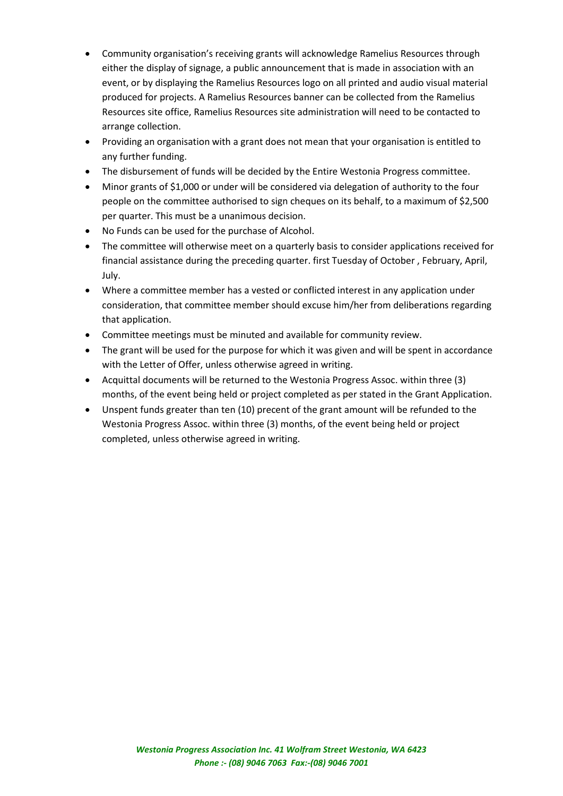- Community organisation's receiving grants will acknowledge Ramelius Resources through either the display of signage, a public announcement that is made in association with an event, or by displaying the Ramelius Resources logo on all printed and audio visual material produced for projects. A Ramelius Resources banner can be collected from the Ramelius Resources site office, Ramelius Resources site administration will need to be contacted to arrange collection.
- Providing an organisation with a grant does not mean that your organisation is entitled to any further funding.
- The disbursement of funds will be decided by the Entire Westonia Progress committee.
- Minor grants of \$1,000 or under will be considered via delegation of authority to the four people on the committee authorised to sign cheques on its behalf, to a maximum of \$2,500 per quarter. This must be a unanimous decision.
- No Funds can be used for the purchase of Alcohol.
- The committee will otherwise meet on a quarterly basis to consider applications received for financial assistance during the preceding quarter. first Tuesday of October , February, April, July.
- Where a committee member has a vested or conflicted interest in any application under consideration, that committee member should excuse him/her from deliberations regarding that application.
- Committee meetings must be minuted and available for community review.
- The grant will be used for the purpose for which it was given and will be spent in accordance with the Letter of Offer, unless otherwise agreed in writing.
- Acquittal documents will be returned to the Westonia Progress Assoc. within three (3) months, of the event being held or project completed as per stated in the Grant Application.
- Unspent funds greater than ten (10) precent of the grant amount will be refunded to the Westonia Progress Assoc. within three (3) months, of the event being held or project completed, unless otherwise agreed in writing.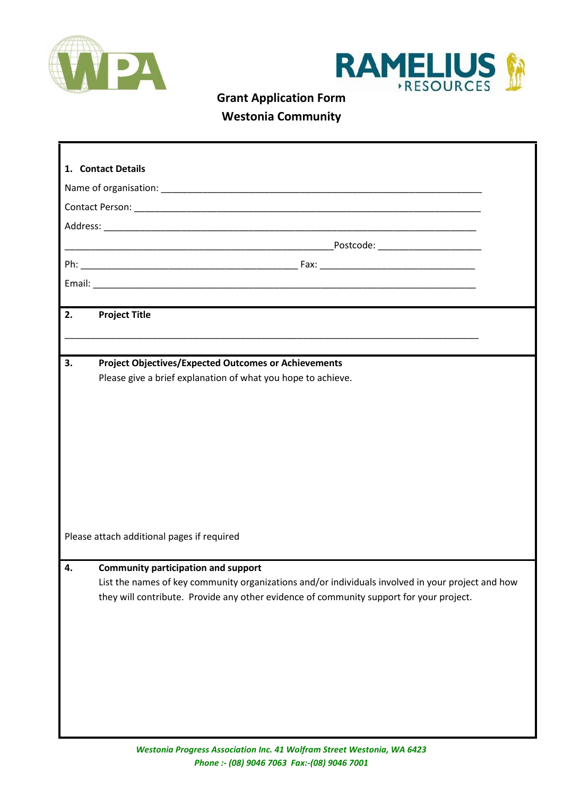



**Westonia Community**

| 1. Contact Details                         |                                                                                                                             |  |  |
|--------------------------------------------|-----------------------------------------------------------------------------------------------------------------------------|--|--|
|                                            |                                                                                                                             |  |  |
|                                            |                                                                                                                             |  |  |
|                                            |                                                                                                                             |  |  |
|                                            |                                                                                                                             |  |  |
|                                            |                                                                                                                             |  |  |
|                                            |                                                                                                                             |  |  |
| 2.                                         | <b>Project Title</b><br>the control of the control of the control of                                                        |  |  |
|                                            |                                                                                                                             |  |  |
| 3.                                         | <b>Project Objectives/Expected Outcomes or Achievements</b><br>Please give a brief explanation of what you hope to achieve. |  |  |
|                                            |                                                                                                                             |  |  |
|                                            |                                                                                                                             |  |  |
|                                            |                                                                                                                             |  |  |
|                                            |                                                                                                                             |  |  |
|                                            |                                                                                                                             |  |  |
|                                            |                                                                                                                             |  |  |
|                                            |                                                                                                                             |  |  |
|                                            |                                                                                                                             |  |  |
|                                            |                                                                                                                             |  |  |
| Please attach additional pages if required |                                                                                                                             |  |  |
| 4.                                         | <b>Community participation and support</b>                                                                                  |  |  |
|                                            | List the names of key community organizations and/or individuals involved in your project and how                           |  |  |
|                                            | they will contribute. Provide any other evidence of community support for your project.                                     |  |  |
|                                            |                                                                                                                             |  |  |
|                                            |                                                                                                                             |  |  |
|                                            |                                                                                                                             |  |  |
|                                            |                                                                                                                             |  |  |
|                                            |                                                                                                                             |  |  |
|                                            |                                                                                                                             |  |  |
|                                            |                                                                                                                             |  |  |